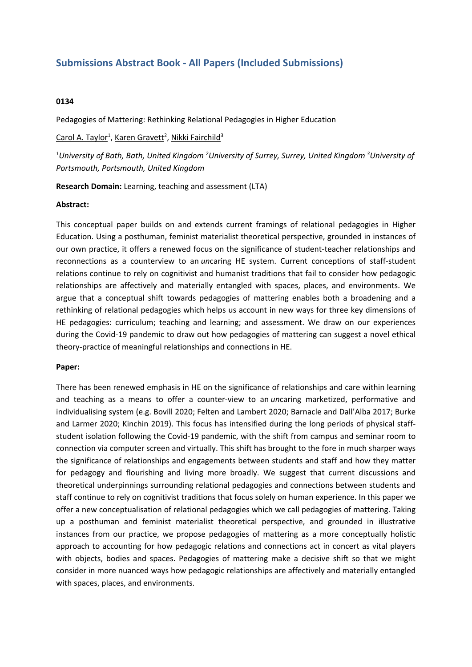## **Submissions Abstract Book - All Papers (Included Submissions)**

## **0134**

Pedagogies of Mattering: Rethinking Relational Pedagogies in Higher Education

Carol A. Taylor<sup>1</sup>, <u>Karen Gravett</u><sup>2</sup>, <u>Nikki Fairchild</u><sup>3</sup>

*1 University of Bath, Bath, United Kingdom <sup>2</sup> University of Surrey, Surrey, United Kingdom <sup>3</sup> University of Portsmouth, Portsmouth, United Kingdom*

**Research Domain:** Learning, teaching and assessment (LTA)

## **Abstract:**

This conceptual paper builds on and extends current framings of relational pedagogies in Higher Education. Using <sup>a</sup> posthuman, feminist materialist theoretical perspective, grounded in instances of our own practice, it offers <sup>a</sup> renewed focus on the significance of student-teacher relationships and reconnections as <sup>a</sup> counterview to an *un*caring HE system. Current conceptions of staff-student relations continue to rely on cognitivist and humanist traditions that fail to consider how pedagogic relationships are affectively and materially entangled with spaces, places, and environments. We argue that <sup>a</sup> conceptual shift towards pedagogies of mattering enables both <sup>a</sup> broadening and <sup>a</sup> rethinking of relational pedagogies which helps us account in new ways for three key dimensions of HE pedagogies: curriculum; teaching and learning; and assessment. We draw on our experiences during the Covid-19 pandemic to draw out how pedagogies of mattering can suggest <sup>a</sup> novel ethical theory-practice of meaningful relationships and connections in HE.

## **Paper:**

There has been renewed emphasis in HE on the significance of relationships and care within learning and teaching as <sup>a</sup> means to offer <sup>a</sup> counter-view to an *un*caring marketized, performative and individualising system (e.g. Bovill 2020; Felten and Lambert 2020; Barnacle and Dall'Alba 2017; Burke and Larmer 2020; Kinchin 2019). This focus has intensified during the long periods of physical staffstudent isolation following the Covid-19 pandemic, with the shift from campus and seminar room to connection via computer screen and virtually. This shift has brought to the fore in much sharper ways the significance of relationships and engagements between students and staff and how they matter for pedagogy and flourishing and living more broadly. We suggest that current discussions and theoretical underpinnings surrounding relational pedagogies and connections between students and staff continue to rely on cognitivist traditions that focus solely on human experience. In this paper we offer <sup>a</sup> new conceptualisation of relational pedagogies which we call pedagogies of mattering. Taking up <sup>a</sup> posthuman and feminist materialist theoretical perspective, and grounded in illustrative instances from our practice, we propose pedagogies of mattering as <sup>a</sup> more conceptually holistic approach to accounting for how pedagogic relations and connections act in concert as vital players with objects, bodies and spaces. Pedagogies of mattering make <sup>a</sup> decisive shift so that we might consider in more nuanced ways how pedagogic relationships are affectively and materially entangled with spaces, places, and environments.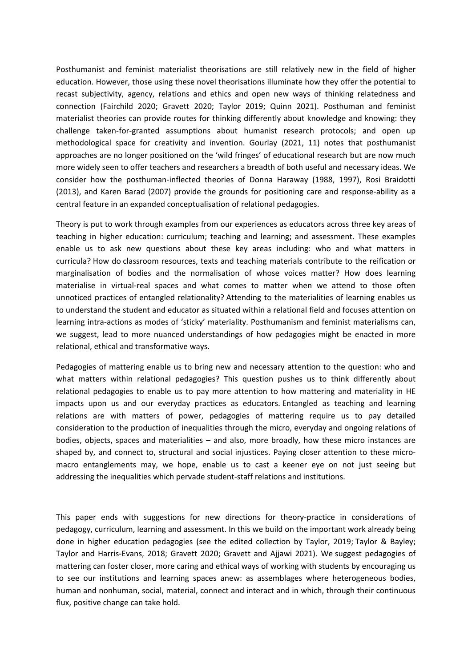Posthumanist and feminist materialist theorisations are still relatively new in the field of higher education. However, those using these novel theorisations illuminate how they offer the potential to recast subjectivity, agency, relations and ethics and open new ways of thinking relatedness and connection (Fairchild 2020; Gravett 2020; Taylor 2019; Quinn 2021). Posthuman and feminist materialist theories can provide routes for thinking differently about knowledge and knowing: they challenge taken-for-granted assumptions about humanist research protocols; and open up methodological space for creativity and invention. Gourlay (2021, 11) notes that posthumanist approaches are no longer positioned on the 'wild fringes' of educational research but are now much more widely seen to offer teachers and researchers <sup>a</sup> breadth of both useful and necessary ideas. We consider how the posthuman-inflected theories of Donna Haraway (1988, 1997), Rosi Braidotti (2013), and Karen Barad (2007) provide the grounds for positioning care and response-ability as <sup>a</sup> central feature in an expanded conceptualisation of relational pedagogies.

Theory is put to work through examples from our experiences as educators across three key areas of teaching in higher education: curriculum; teaching and learning; and assessment. These examples enable us to ask new questions about these key areas including: who and what matters in curricula? How do classroom resources, texts and teaching materials contribute to the reification or marginalisation of bodies and the normalisation of whose voices matter? How does learning materialise in virtual-real spaces and what comes to matter when we attend to those often unnoticed practices of entangled relationality? Attending to the materialities of learning enables us to understand the student and educator as situated within <sup>a</sup> relational field and focuses attention on learning intra-actions as modes of 'sticky' materiality. Posthumanism and feminist materialisms can, we suggest, lead to more nuanced understandings of how pedagogies might be enacted in more relational, ethical and transformative ways.

Pedagogies of mattering enable us to bring new and necessary attention to the question: who and what matters within relational pedagogies? This question pushes us to think differently about relational pedagogies to enable us to pay more attention to how mattering and materiality in HE impacts upon us and our everyday practices as educators. Entangled as teaching and learning relations are with matters of power, pedagogies of mattering require us to pay detailed consideration to the production of inequalities through the micro, everyday and ongoing relations of bodies, objects, spaces and materialities – and also, more broadly, how these micro instances are shaped by, and connect to, structural and social injustices. Paying closer attention to these micromacro entanglements may, we hope, enable us to cast <sup>a</sup> keener eye on not just seeing but addressing the inequalities which pervade student-staff relations and institutions.

This paper ends with suggestions for new directions for theory-practice in considerations of pedagogy, curriculum, learning and assessment. In this we build on the important work already being done in higher education pedagogies (see the edited collection by Taylor, 2019; Taylor & Bayley; Taylor and Harris-Evans, 2018; Gravett 2020; Gravett and Ajjawi 2021). We suggest pedagogies of mattering can foster closer, more caring and ethical ways of working with students by encouraging us to see our institutions and learning spaces anew: as assemblages where heterogeneous bodies, human and nonhuman, social, material, connect and interact and in which, through their continuous flux, positive change can take hold.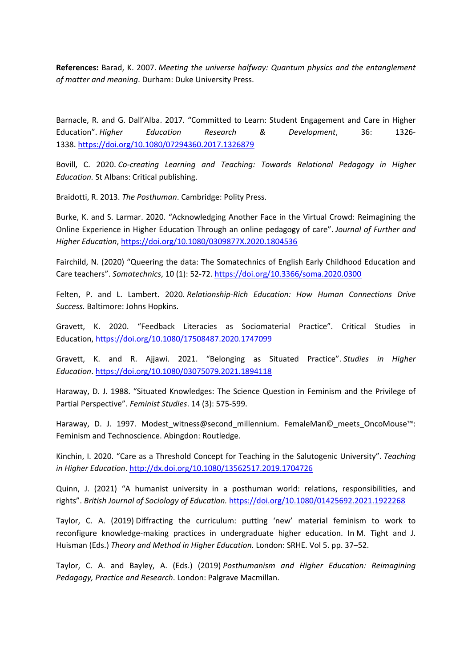**References:** Barad, K. 2007. *Meeting the universe halfway: Quantum physics and the entanglement of matter and meaning*. Durham: Duke University Press.

Barnacle, R. and G. Dall'Alba. 2017. "Committed to Learn: Student Engagement and Care in Higher Education". *Higher Education Research & Development*, 36: 1326- 1338.<https://doi.org/10.1080/07294360.2017.1326879>

Bovill, C. 2020. *Co-creating Learning and Teaching: Towards Relational Pedagogy in Higher Education.* St Albans: Critical publishing.

Braidotti, R. 2013. *The Posthuman*. Cambridge: Polity Press.

Burke, K. and S. Larmar. 2020. "Acknowledging Another Face in the Virtual Crowd: Reimagining the Online Experience in Higher Education Through an online pedagogy of care". *Journal of Further and Higher Education*, <https://doi.org/10.1080/0309877X.2020.1804536>

Fairchild, N. (2020) "Queering the data: The Somatechnics of English Early Childhood Education and Care teachers". *Somatechnics*, 10 (1): 52-72. <https://doi.org/10.3366/soma.2020.0300>

Felten, P. and L. Lambert. 2020. *Relationship-Rich Education: How Human Connections Drive Success.* Baltimore: Johns Hopkins.

Gravett, K. 2020. "Feedback Literacies as Sociomaterial Practice". Critical Studies in Education, <https://doi.org/10.1080/17508487.2020.1747099>

Gravett, K. and R. Ajjawi. 2021. "Belonging as Situated Practice". *Studies in Higher Education*. <https://doi.org/10.1080/03075079.2021.1894118>

Haraway, D. J. 1988. "Situated Knowledges: The Science Question in Feminism and the Privilege of Partial Perspective". *Feminist Studies*. 14 (3): 575-599.

Haraway, D. J. 1997. Modest witness@second\_millennium. FemaleMan©\_meets\_OncoMouse™: Feminism and Technoscience. Abingdon: Routledge.

Kinchin, I. 2020. "Care as <sup>a</sup> Threshold Concept for Teaching in the Salutogenic University". *Teaching in Higher Education*.<http://dx.doi.org/10.1080/13562517.2019.1704726>

Quinn, J. (2021) "A humanist university in <sup>a</sup> posthuman world: relations, responsibilities, and rights". *British Journal of Sociology of Education.* <https://doi.org/10.1080/01425692.2021.1922268>

Taylor, C. A. (2019) Diffracting the curriculum: putting 'new' material feminism to work to reconfigure knowledge-making practices in undergraduate higher education. In M. Tight and J. Huisman (Eds.) *Theory and Method in Higher Education.* London: SRHE. Vol 5. pp. 37–52.

Taylor, C. A. and Bayley, A. (Eds.) (2019) *Posthumanism and Higher Education: Reimagining Pedagogy, Practice and Research*. London: Palgrave Macmillan.